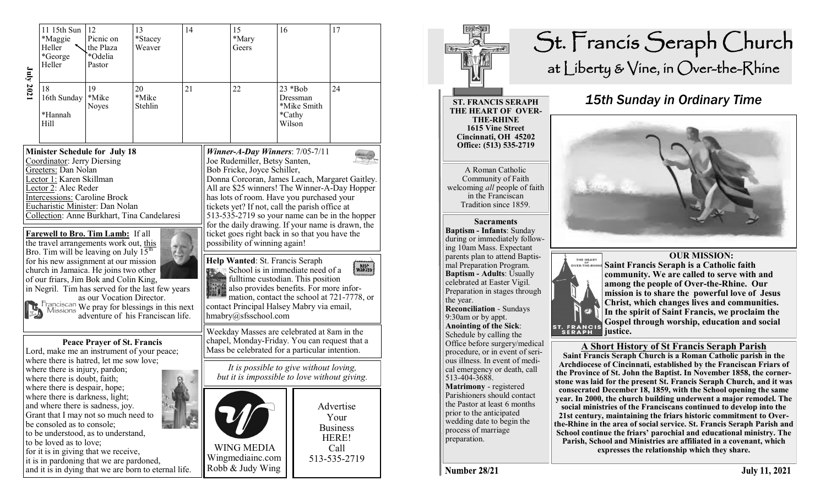| July 2021                                                                                                                                                                                                                                                                                                                                                                                                                                                                                                                                                                                                                                                                                                       | 11 15th Sun<br>*Maggie<br>Heller<br>*George<br>Heller<br>18                                                                                                                                                                                                                                                                                                                              | 12<br>13<br>Picnic on<br>*Stacey<br>the Plaza<br>Weaver<br>*Odelia<br>Pastor<br>19<br>20 |                  | 14<br>21 |                                                                                                                                                                                                                                                                                                                                                                                                                                                                                                                                                                                                                                                                                                                                                                                                  | 15<br>*Mary<br>Geers<br>22                                | 16<br>$23 * Bob$                            |  | 17<br>24                                                              |
|-----------------------------------------------------------------------------------------------------------------------------------------------------------------------------------------------------------------------------------------------------------------------------------------------------------------------------------------------------------------------------------------------------------------------------------------------------------------------------------------------------------------------------------------------------------------------------------------------------------------------------------------------------------------------------------------------------------------|------------------------------------------------------------------------------------------------------------------------------------------------------------------------------------------------------------------------------------------------------------------------------------------------------------------------------------------------------------------------------------------|------------------------------------------------------------------------------------------|------------------|----------|--------------------------------------------------------------------------------------------------------------------------------------------------------------------------------------------------------------------------------------------------------------------------------------------------------------------------------------------------------------------------------------------------------------------------------------------------------------------------------------------------------------------------------------------------------------------------------------------------------------------------------------------------------------------------------------------------------------------------------------------------------------------------------------------------|-----------------------------------------------------------|---------------------------------------------|--|-----------------------------------------------------------------------|
|                                                                                                                                                                                                                                                                                                                                                                                                                                                                                                                                                                                                                                                                                                                 | 16th Sunday<br>*Hannah<br><b>Hill</b>                                                                                                                                                                                                                                                                                                                                                    | *Mike<br>Noyes                                                                           | *Mike<br>Stehlin |          |                                                                                                                                                                                                                                                                                                                                                                                                                                                                                                                                                                                                                                                                                                                                                                                                  |                                                           | Dressman<br>*Mike Smith<br>*Cathy<br>Wilson |  |                                                                       |
| <b>Minister Schedule for July 18</b><br>Coordinator: Jerry Diersing<br>Greeters: Dan Nolan<br>Lector 1: Karen Skillman<br>Lector 2: Alec Reder<br>Intercessions: Caroline Brock<br>Eucharistic Minister: Dan Nolan<br>Collection: Anne Burkhart, Tina Candelaresi<br><b>Farewell to Bro. Tim Lamb:</b> If all<br>the travel arrangements work out, this<br>Bro. Tim will be leaving on July 15 <sup>th</sup><br>for his new assignment at our mission<br>church in Jamaica. He joins two other<br>of our friars, Jim Bok and Colin King,<br>in Negril. Tim has served for the last few years<br>as our Vocation Director.<br>Franciscan We pray for blessings in this next<br>adventure of his Franciscan life. |                                                                                                                                                                                                                                                                                                                                                                                          |                                                                                          |                  |          | Winner-A-Day Winners: $7/05-7/11$<br>Joe Rudemiller, Betsy Santen,<br>Bob Fricke, Joyce Schiller,<br>Donna Corcoran, James Leach, Margaret Gaitley.<br>All are \$25 winners! The Winner-A-Day Hopper<br>has lots of room. Have you purchased your<br>tickets yet? If not, call the parish office at<br>513-535-2719 so your name can be in the hopper<br>for the daily drawing. If your name is drawn, the<br>ticket goes right back in so that you have the<br>possibility of winning again!<br>Help Wanted: St. Francis Seraph<br><b>HELP</b><br>WANTED<br>School is in immediate need of a<br>fulltime custodian. This position<br>also provides benefits. For more infor-<br>mation, contact the school at 721-7778, or<br>contact Principal Halsey Mabry via email,<br>hmabry@sfsschool.com |                                                           |                                             |  |                                                                       |
| <b>Peace Prayer of St. Francis</b><br>Lord, make me an instrument of your peace;<br>where there is hatred, let me sow love;<br>where there is injury, pardon;<br>where there is doubt, faith;                                                                                                                                                                                                                                                                                                                                                                                                                                                                                                                   |                                                                                                                                                                                                                                                                                                                                                                                          |                                                                                          |                  |          | Weekday Masses are celebrated at 8am in the<br>chapel, Monday-Friday. You can request that a<br>Mass be celebrated for a particular intention.<br>It is possible to give without loving,<br>but it is impossible to love without giving.                                                                                                                                                                                                                                                                                                                                                                                                                                                                                                                                                         |                                                           |                                             |  |                                                                       |
|                                                                                                                                                                                                                                                                                                                                                                                                                                                                                                                                                                                                                                                                                                                 | where there is despair, hope;<br>where there is darkness, light;<br>and where there is sadness, joy.<br>Grant that I may not so much need to<br>be consoled as to console;<br>to be understood, as to understand,<br>to be loved as to love;<br>for it is in giving that we receive,<br>it is in pardoning that we are pardoned,<br>and it is in dying that we are born to eternal life. |                                                                                          |                  |          |                                                                                                                                                                                                                                                                                                                                                                                                                                                                                                                                                                                                                                                                                                                                                                                                  | <b>WING MEDIA</b><br>Wingmediainc.com<br>Robb & Judy Wing |                                             |  | Advertise<br>Your<br><b>Business</b><br>HERE!<br>Call<br>513-535-2719 |